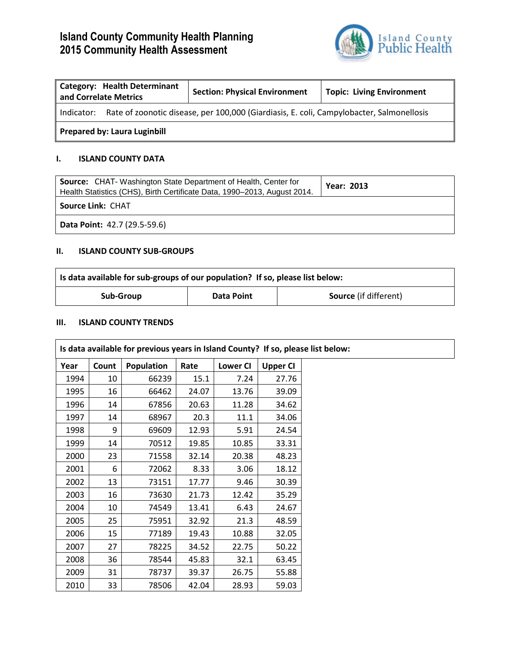# **Island County Community Health Planning 2015 Community Health Assessment**



| <b>Category: Health Determinant</b><br>and Correlate Metrics |                                                                                                     | <b>Section: Physical Environment</b> | <b>Topic: Living Environment</b> |  |  |
|--------------------------------------------------------------|-----------------------------------------------------------------------------------------------------|--------------------------------------|----------------------------------|--|--|
|                                                              | Indicator: Rate of zoonotic disease, per 100,000 (Giardiasis, E. coli, Campylobacter, Salmonellosis |                                      |                                  |  |  |
| <b>Prepared by: Laura Luginbill</b>                          |                                                                                                     |                                      |                                  |  |  |

#### **I. ISLAND COUNTY DATA**

| <b>Source:</b> CHAT-Washington State Department of Health, Center for<br>Health Statistics (CHS), Birth Certificate Data, 1990-2013, August 2014. | <b>Year: 2013</b> |  |  |  |
|---------------------------------------------------------------------------------------------------------------------------------------------------|-------------------|--|--|--|
| <b>Source Link: CHAT</b>                                                                                                                          |                   |  |  |  |
| Data Point: 42.7 (29.5-59.6)                                                                                                                      |                   |  |  |  |

## **II. ISLAND COUNTY SUB-GROUPS**

| Is data available for sub-groups of our population? If so, please list below: |            |                              |  |
|-------------------------------------------------------------------------------|------------|------------------------------|--|
| Sub-Group                                                                     | Data Point | <b>Source</b> (if different) |  |

## **III. ISLAND COUNTY TRENDS**

|      |       | Is data available for previous years in Island County? If so, please list below: |       |                 |                 |  |
|------|-------|----------------------------------------------------------------------------------|-------|-----------------|-----------------|--|
| Year | Count | <b>Population</b>                                                                | Rate  | <b>Lower CI</b> | <b>Upper CI</b> |  |
| 1994 | 10    | 66239                                                                            | 15.1  | 7.24            | 27.76           |  |
| 1995 | 16    | 66462                                                                            | 24.07 | 13.76           | 39.09           |  |
| 1996 | 14    | 67856                                                                            | 20.63 | 11.28           | 34.62           |  |
| 1997 | 14    | 68967                                                                            | 20.3  | 11.1            | 34.06           |  |
| 1998 | 9     | 69609                                                                            | 12.93 | 5.91            | 24.54           |  |
| 1999 | 14    | 70512                                                                            | 19.85 | 10.85           | 33.31           |  |
| 2000 | 23    | 71558                                                                            | 32.14 | 20.38           | 48.23           |  |
| 2001 | 6     | 72062                                                                            | 8.33  | 3.06            | 18.12           |  |
| 2002 | 13    | 73151                                                                            | 17.77 | 9.46            | 30.39           |  |
| 2003 | 16    | 73630                                                                            | 21.73 | 12.42           | 35.29           |  |
| 2004 | 10    | 74549                                                                            | 13.41 | 6.43            | 24.67           |  |
| 2005 | 25    | 75951                                                                            | 32.92 | 21.3            | 48.59           |  |
| 2006 | 15    | 77189                                                                            | 19.43 | 10.88           | 32.05           |  |
| 2007 | 27    | 78225                                                                            | 34.52 | 22.75           | 50.22           |  |
| 2008 | 36    | 78544                                                                            | 45.83 | 32.1            | 63.45           |  |
| 2009 | 31    | 78737                                                                            | 39.37 | 26.75           | 55.88           |  |
| 2010 | 33    | 78506                                                                            | 42.04 | 28.93           | 59.03           |  |